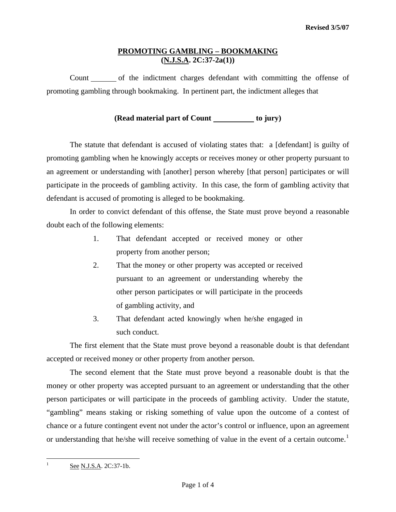## **PROMOTING GAMBLING – BOOKMAKING (N.J.S.A. 2C:37-2a(1))**

Count of the indictment charges defendant with committing the offense of promoting gambling through bookmaking. In pertinent part, the indictment alleges that

**(Read material part of Count to jury)** 

 The statute that defendant is accused of violating states that: a [defendant] is guilty of promoting gambling when he knowingly accepts or receives money or other property pursuant to an agreement or understanding with [another] person whereby [that person] participates or will participate in the proceeds of gambling activity. In this case, the form of gambling activity that defendant is accused of promoting is alleged to be bookmaking.

 In order to convict defendant of this offense, the State must prove beyond a reasonable doubt each of the following elements:

- 1. That defendant accepted or received money or other property from another person;
- 2. That the money or other property was accepted or received pursuant to an agreement or understanding whereby the other person participates or will participate in the proceeds of gambling activity, and
- 3. That defendant acted knowingly when he/she engaged in such conduct.

 The first element that the State must prove beyond a reasonable doubt is that defendant accepted or received money or other property from another person.

 The second element that the State must prove beyond a reasonable doubt is that the money or other property was accepted pursuant to an agreement or understanding that the other person participates or will participate in the proceeds of gambling activity. Under the statute, "gambling" means staking or risking something of value upon the outcome of a contest of chance or a future contingent event not under the actor's control or influence, upon an agreement or understanding that he/she will receive something of value in the event of a certain outcome.<sup>[1](#page-0-0)</sup>

See N.J.S.A. 2C:37-1b.

<span id="page-0-1"></span><span id="page-0-0"></span>1 1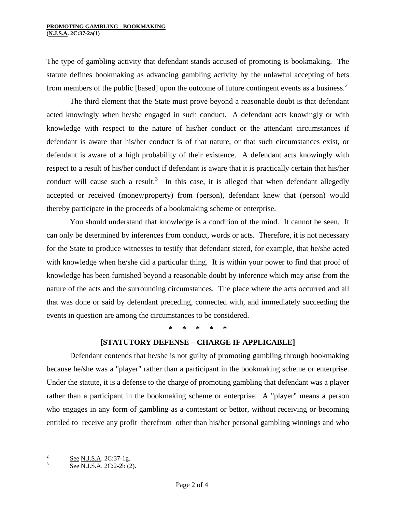The type of gambling activity that defendant stands accused of promoting is bookmaking. The statute defines bookmaking as advancing gambling activity by the unlawful accepting of bets from members of the public [based] upon the outcome of future contingent events as a business.<sup>[2](#page-0-1)</sup>

 The third element that the State must prove beyond a reasonable doubt is that defendant acted knowingly when he/she engaged in such conduct. A defendant acts knowingly or with knowledge with respect to the nature of his/her conduct or the attendant circumstances if defendant is aware that his/her conduct is of that nature, or that such circumstances exist, or defendant is aware of a high probability of their existence. A defendant acts knowingly with respect to a result of his/her conduct if defendant is aware that it is practically certain that his/her conduct will cause such a result.<sup>[3](#page-1-0)</sup> In this case, it is alleged that when defendant allegedly accepted or received (money/property) from (person), defendant knew that (person) would thereby participate in the proceeds of a bookmaking scheme or enterprise.

 You should understand that knowledge is a condition of the mind. It cannot be seen. It can only be determined by inferences from conduct, words or acts. Therefore, it is not necessary for the State to produce witnesses to testify that defendant stated, for example, that he/she acted with knowledge when he/she did a particular thing. It is within your power to find that proof of knowledge has been furnished beyond a reasonable doubt by inference which may arise from the nature of the acts and the surrounding circumstances. The place where the acts occurred and all that was done or said by defendant preceding, connected with, and immediately succeeding the events in question are among the circumstances to be considered.

**\* \* \* \* \*** 

## **[STATUTORY DEFENSE – CHARGE IF APPLICABLE]**

Defendant contends that he/she is not guilty of promoting gambling through bookmaking because he/she was a "player" rather than a participant in the bookmaking scheme or enterprise. Under the statute, it is a defense to the charge of promoting gambling that defendant was a player rather than a participant in the bookmaking scheme or enterprise. A "player" means a person who engages in any form of gambling as a contestant or bettor, without receiving or becoming entitled to receive any profit therefrom other than his/her personal gambling winnings and who

<span id="page-1-1"></span> $\frac{1}{2}$ See N.J.S.A. 2C:37-1g.

<span id="page-1-0"></span>See N.J.S.A. 2C:2-2b (2).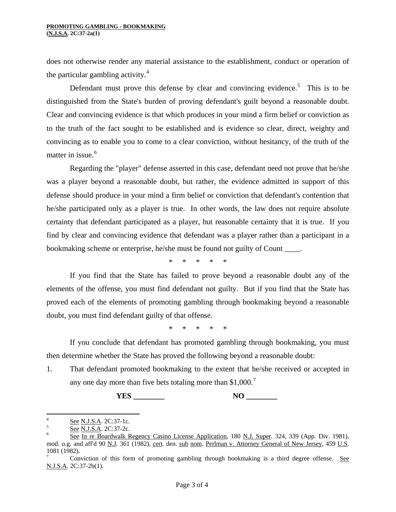does not otherwise render any material assistance to the establishment, conduct or operation of the particular gambling activity. $4$ 

Defendant must prove this defense by clear and convincing evidence.<sup>[5](#page-2-0)</sup> This is to be distinguished from the State's burden of proving defendant's guilt beyond a reasonable doubt. Clear and convincing evidence is that which produces in your mind a firm belief or conviction as to the truth of the fact sought to be established and is evidence so clear, direct, weighty and convincing as to enable you to come to a clear conviction, without hesitancy, of the truth of the matter in issue.<sup>[6](#page-2-1)</sup>

 Regarding the "player" defense asserted in this case, defendant need not prove that he/she was a player beyond a reasonable doubt, but rather, the evidence admitted in support of this defense should produce in your mind a firm belief or conviction that defendant's contention that he/she participated only as a player is true. In other words, the law does not require absolute certainty that defendant participated as a player, but reasonable certainty that it is true. If you find by clear and convincing evidence that defendant was a player rather than a participant in a bookmaking scheme or enterprise, he/she must be found not guilty of Count \_\_\_\_.

\* \* \* \* \*

 If you find that the State has failed to prove beyond a reasonable doubt any of the elements of the offense, you must find defendant not guilty. But if you find that the State has proved each of the elements of promoting gambling through bookmaking beyond a reasonable doubt, you must find defendant guilty of that offense.

\* \* \* \* \*

 If you conclude that defendant has promoted gambling through bookmaking, you must then determine whether the State has proved the following beyond a reasonable doubt:

1. That defendant promoted bookmaking to the extent that he/she received or accepted in any one day more than five bets totaling more than  $$1,000.'$ 

 **YES \_\_\_\_\_\_\_\_ NO \_\_\_\_\_\_\_\_** 

 $\frac{1}{4}$  $\frac{See}{S}$  See N.J.S.A. 2C:37-1c.

<span id="page-2-0"></span> $\frac{See}{S}$  See N.J.S.A. 2C:37-2c.

<span id="page-2-1"></span>See In re Boardwalk Regency Casino License Application, 180 N.J. Super. 324, 339 (App. Div. 1981), mod. o.g. and aff'd 90 N.J. 361 (1982), cert. den. sub nom. Perlman v. Attorney General of New Jersey, 459 U.S. 1081 (1982).

<span id="page-2-2"></span><sup>7</sup> Conviction of this form of promoting gambling through bookmaking is a third degree offense. See N.J.S.A. 2C:37-2b(1).